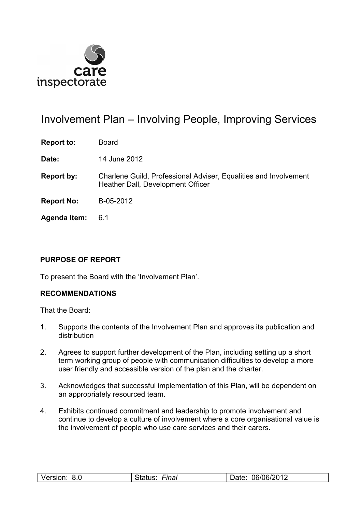

# Involvement Plan – Involving People, Improving Services

**Report to:** Board

**Date:** 14 June 2012

- **Report by:** Charlene Guild, Professional Adviser, Equalities and Involvement Heather Dall, Development Officer
- **Report No:** B-05-2012
- **Agenda Item:** 6.1

## **PURPOSE OF REPORT**

To present the Board with the 'Involvement Plan'.

## **RECOMMENDATIONS**

That the Board:

- 1. Supports the contents of the Involvement Plan and approves its publication and distribution
- 2. Agrees to support further development of the Plan, including setting up a short term working group of people with communication difficulties to develop a more user friendly and accessible version of the plan and the charter.
- 3. Acknowledges that successful implementation of this Plan, will be dependent on an appropriately resourced team.
- 4. Exhibits continued commitment and leadership to promote involvement and continue to develop a culture of involvement where a core organisational value is the involvement of people who use care services and their carers.

| --<br>.06/06/201<br>o n<br>'−ına.<br>O.U<br>v.<br>◡<br>$\sim$ $\sim$ $\sim$ $\sim$ $\sim$ $\sim$ $\sim$ $\sim$<br>_______ |  |
|---------------------------------------------------------------------------------------------------------------------------|--|
|---------------------------------------------------------------------------------------------------------------------------|--|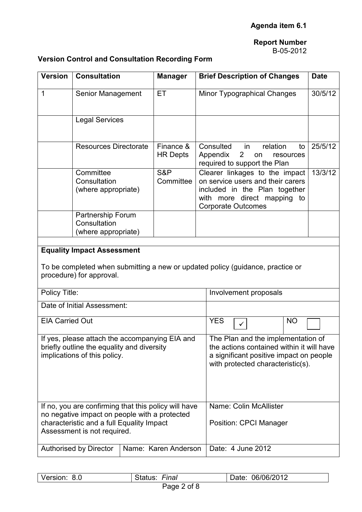# **Report Number**

## B-05-2012

## **Version Control and Consultation Recording Form**

| <b>Version</b>                                                                                                               | <b>Consultation</b>                                                                                                                             | <b>Manager</b>               |                                                                                                                                                                 | <b>Brief Description of Changes</b>                                                                                                                              |                |          |          |                 | <b>Date</b> |  |
|------------------------------------------------------------------------------------------------------------------------------|-------------------------------------------------------------------------------------------------------------------------------------------------|------------------------------|-----------------------------------------------------------------------------------------------------------------------------------------------------------------|------------------------------------------------------------------------------------------------------------------------------------------------------------------|----------------|----------|----------|-----------------|-------------|--|
| 1                                                                                                                            | Senior Management                                                                                                                               | ET                           |                                                                                                                                                                 | Minor Typographical Changes                                                                                                                                      |                |          |          |                 | 30/5/12     |  |
|                                                                                                                              | <b>Legal Services</b>                                                                                                                           |                              |                                                                                                                                                                 |                                                                                                                                                                  |                |          |          |                 |             |  |
|                                                                                                                              | <b>Resources Directorate</b>                                                                                                                    | Finance &<br><b>HR Depts</b> |                                                                                                                                                                 | Consulted<br>Appendix<br>required to support the Plan                                                                                                            | $\overline{2}$ | in<br>on | relation | to<br>resources | 25/5/12     |  |
|                                                                                                                              | Committee<br>Consultation<br>(where appropriate)                                                                                                | S&P<br>Committee             |                                                                                                                                                                 | Clearer linkages to the impact<br>on service users and their carers<br>included in the Plan together<br>with more direct mapping to<br><b>Corporate Outcomes</b> |                |          |          |                 | 13/3/12     |  |
|                                                                                                                              | Partnership Forum<br>Consultation<br>(where appropriate)                                                                                        |                              |                                                                                                                                                                 |                                                                                                                                                                  |                |          |          |                 |             |  |
|                                                                                                                              | <b>Equality Impact Assessment</b><br>To be completed when submitting a new or updated policy (guidance, practice or<br>procedure) for approval. |                              |                                                                                                                                                                 |                                                                                                                                                                  |                |          |          |                 |             |  |
| Policy Title:                                                                                                                |                                                                                                                                                 |                              |                                                                                                                                                                 | Involvement proposals                                                                                                                                            |                |          |          |                 |             |  |
|                                                                                                                              | Date of Initial Assessment:                                                                                                                     |                              |                                                                                                                                                                 |                                                                                                                                                                  |                |          |          |                 |             |  |
| <b>EIA Carried Out</b>                                                                                                       |                                                                                                                                                 |                              |                                                                                                                                                                 | <b>YES</b>                                                                                                                                                       | ✓              |          |          | <b>NO</b>       |             |  |
| If yes, please attach the accompanying EIA and<br>briefly outline the equality and diversity<br>implications of this policy. |                                                                                                                                                 |                              | The Plan and the implementation of<br>the actions contained within it will have<br>a significant positive impact on people<br>with protected characteristic(s). |                                                                                                                                                                  |                |          |          |                 |             |  |
|                                                                                                                              | If no, you are confirming that this policy will have                                                                                            |                              |                                                                                                                                                                 | Name: Colin McAllister                                                                                                                                           |                |          |          |                 |             |  |
| no negative impact on people with a protected<br>characteristic and a full Equality Impact<br>Assessment is not required.    |                                                                                                                                                 |                              | <b>Position: CPCI Manager</b>                                                                                                                                   |                                                                                                                                                                  |                |          |          |                 |             |  |
| Authorised by Director<br>Name: Karen Anderson                                                                               |                                                                                                                                                 | Date: 4 June 2012            |                                                                                                                                                                 |                                                                                                                                                                  |                |          |          |                 |             |  |

| Version: | Final    | 06/06/2012 |
|----------|----------|------------|
| 8.0      | Status:  | Date:      |
|          | $D = 20$ |            |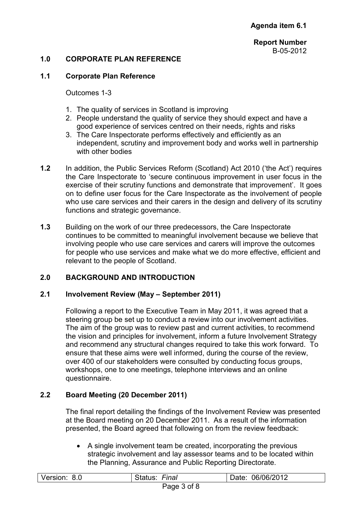## **1.0 CORPORATE PLAN REFERENCE**

#### **1.1 Corporate Plan Reference**

Outcomes 1-3

- 1. The quality of services in Scotland is improving
- 2. People understand the quality of service they should expect and have a good experience of services centred on their needs, rights and risks
- 3. The Care Inspectorate performs effectively and efficiently as an independent, scrutiny and improvement body and works well in partnership with other bodies
- **1.2** In addition, the Public Services Reform (Scotland) Act 2010 ('the Act') requires the Care Inspectorate to 'secure continuous improvement in user focus in the exercise of their scrutiny functions and demonstrate that improvement'. It goes on to define user focus for the Care Inspectorate as the involvement of people who use care services and their carers in the design and delivery of its scrutiny functions and strategic governance.
- **1.3** Building on the work of our three predecessors, the Care Inspectorate continues to be committed to meaningful involvement because we believe that involving people who use care services and carers will improve the outcomes for people who use services and make what we do more effective, efficient and relevant to the people of Scotland.

## **2.0 BACKGROUND AND INTRODUCTION**

#### **2.1 Involvement Review (May – September 2011)**

Following a report to the Executive Team in May 2011, it was agreed that a steering group be set up to conduct a review into our involvement activities. The aim of the group was to review past and current activities, to recommend the vision and principles for involvement, inform a future Involvement Strategy and recommend any structural changes required to take this work forward. To ensure that these aims were well informed, during the course of the review, over 400 of our stakeholders were consulted by conducting focus groups, workshops, one to one meetings, telephone interviews and an online questionnaire.

## **2.2 Board Meeting (20 December 2011)**

The final report detailing the findings of the Involvement Review was presented at the Board meeting on 20 December 2011. As a result of the information presented, the Board agreed that following on from the review feedback:

• A single involvement team be created, incorporating the previous strategic involvement and lay assessor teams and to be located within the Planning, Assurance and Public Reporting Directorate.

| Version: 8.0 | Status: Final | Date: 06/06/2012 |
|--------------|---------------|------------------|
|              | Page 3 of 8   |                  |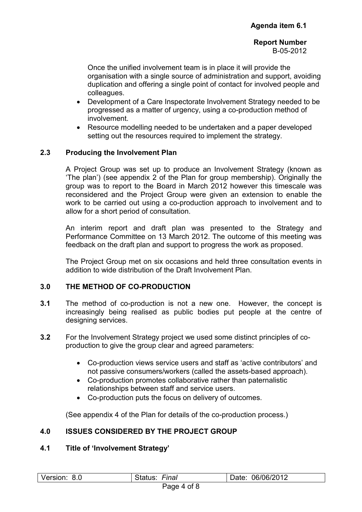Once the unified involvement team is in place it will provide the organisation with a single source of administration and support, avoiding duplication and offering a single point of contact for involved people and colleagues.

- Development of a Care Inspectorate Involvement Strategy needed to be progressed as a matter of urgency, using a co-production method of involvement.
- Resource modelling needed to be undertaken and a paper developed setting out the resources required to implement the strategy.

## **2.3 Producing the Involvement Plan**

A Project Group was set up to produce an Involvement Strategy (known as 'The plan') (see appendix 2 of the Plan for group membership). Originally the group was to report to the Board in March 2012 however this timescale was reconsidered and the Project Group were given an extension to enable the work to be carried out using a co-production approach to involvement and to allow for a short period of consultation.

An interim report and draft plan was presented to the Strategy and Performance Committee on 13 March 2012. The outcome of this meeting was feedback on the draft plan and support to progress the work as proposed.

The Project Group met on six occasions and held three consultation events in addition to wide distribution of the Draft Involvement Plan.

#### **3.0 THE METHOD OF CO-PRODUCTION**

- **3.1** The method of co-production is not a new one. However, the concept is increasingly being realised as public bodies put people at the centre of designing services.
- **3.2** For the Involvement Strategy project we used some distinct principles of coproduction to give the group clear and agreed parameters:
	- Co-production views service users and staff as 'active contributors' and not passive consumers/workers (called the assets-based approach).
	- Co-production promotes collaborative rather than paternalistic relationships between staff and service users.
	- Co-production puts the focus on delivery of outcomes.

(See appendix 4 of the Plan for details of the co-production process.)

## **4.0 ISSUES CONSIDERED BY THE PROJECT GROUP**

#### **4.1 Title of 'Involvement Strategy'**

| Version:<br>8.0 | --<br>-ınal<br>.wo | 06/06/2012<br>Jate: |
|-----------------|--------------------|---------------------|
|                 | ___                |                     |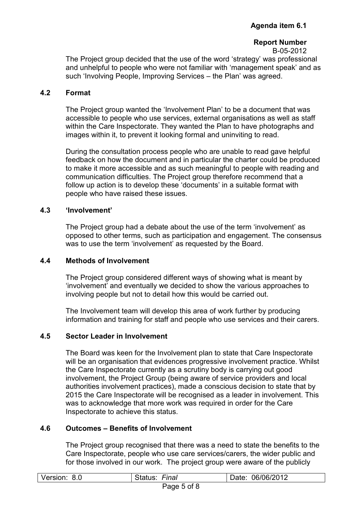## **Report Number**

B-05-2012 The Project group decided that the use of the word 'strategy' was professional and unhelpful to people who were not familiar with 'management speak' and as such 'Involving People, Improving Services – the Plan' was agreed.

## **4.2 Format**

 The Project group wanted the 'Involvement Plan' to be a document that was accessible to people who use services, external organisations as well as staff within the Care Inspectorate. They wanted the Plan to have photographs and images within it, to prevent it looking formal and uninviting to read.

During the consultation process people who are unable to read gave helpful feedback on how the document and in particular the charter could be produced to make it more accessible and as such meaningful to people with reading and communication difficulties. The Project group therefore recommend that a follow up action is to develop these 'documents' in a suitable format with people who have raised these issues.

## **4.3 'Involvement'**

 The Project group had a debate about the use of the term 'involvement' as opposed to other terms, such as participation and engagement. The consensus was to use the term 'involvement' as requested by the Board.

## **4.4 Methods of Involvement**

The Project group considered different ways of showing what is meant by 'involvement' and eventually we decided to show the various approaches to involving people but not to detail how this would be carried out.

The Involvement team will develop this area of work further by producing information and training for staff and people who use services and their carers.

## **4.5 Sector Leader in Involvement**

The Board was keen for the Involvement plan to state that Care Inspectorate will be an organisation that evidences progressive involvement practice. Whilst the Care Inspectorate currently as a scrutiny body is carrying out good involvement, the Project Group (being aware of service providers and local authorities involvement practices), made a conscious decision to state that by 2015 the Care Inspectorate will be recognised as a leader in involvement. This was to acknowledge that more work was required in order for the Care Inspectorate to achieve this status.

## **4.6 Outcomes – Benefits of Involvement**

The Project group recognised that there was a need to state the benefits to the Care Inspectorate, people who use care services/carers, the wider public and for those involved in our work. The project group were aware of the publicly

| Version:        | Final   | 06/06/2012 |  |
|-----------------|---------|------------|--|
| 8.0             | rialus. | Date:      |  |
| $P - P - P - P$ |         |            |  |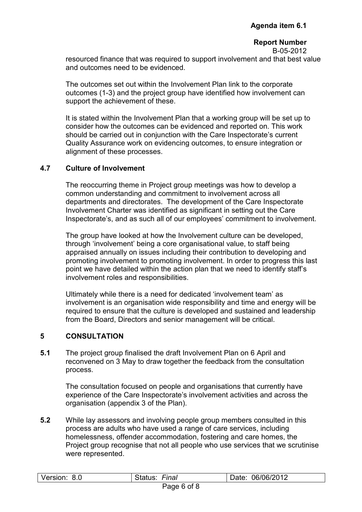resourced finance that was required to support involvement and that best value and outcomes need to be evidenced.

The outcomes set out within the Involvement Plan link to the corporate outcomes (1-3) and the project group have identified how involvement can support the achievement of these.

It is stated within the Involvement Plan that a working group will be set up to consider how the outcomes can be evidenced and reported on. This work should be carried out in conjunction with the Care Inspectorate's current Quality Assurance work on evidencing outcomes, to ensure integration or alignment of these processes.

## **4.7 Culture of Involvement**

The reoccurring theme in Project group meetings was how to develop a common understanding and commitment to involvement across all departments and directorates. The development of the Care Inspectorate Involvement Charter was identified as significant in setting out the Care Inspectorate's, and as such all of our employees' commitment to involvement.

The group have looked at how the Involvement culture can be developed, through 'involvement' being a core organisational value, to staff being appraised annually on issues including their contribution to developing and promoting involvement to promoting involvement. In order to progress this last point we have detailed within the action plan that we need to identify staff's involvement roles and responsibilities.

Ultimately while there is a need for dedicated 'involvement team' as involvement is an organisation wide responsibility and time and energy will be required to ensure that the culture is developed and sustained and leadership from the Board, Directors and senior management will be critical.

## **5 CONSULTATION**

**5.1** The project group finalised the draft Involvement Plan on 6 April and reconvened on 3 May to draw together the feedback from the consultation process.

The consultation focused on people and organisations that currently have experience of the Care Inspectorate's involvement activities and across the organisation (appendix 3 of the Plan).

**5.2** While lay assessors and involving people group members consulted in this process are adults who have used a range of care services, including homelessness, offender accommodation, fostering and care homes, the Project group recognise that not all people who use services that we scrutinise were represented.

| Version: 8.0 | Final<br>Status: | 06/06/2012<br>Date: |
|--------------|------------------|---------------------|
|              | Page 6 of 8      |                     |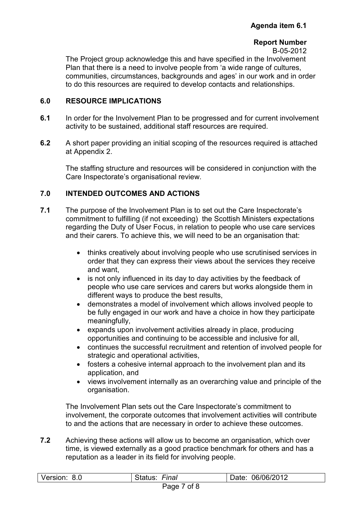The Project group acknowledge this and have specified in the Involvement Plan that there is a need to involve people from 'a wide range of cultures, communities, circumstances, backgrounds and ages' in our work and in order to do this resources are required to develop contacts and relationships.

## **6.0 RESOURCE IMPLICATIONS**

- **6.1** In order for the Involvement Plan to be progressed and for current involvement activity to be sustained, additional staff resources are required.
- **6.2** A short paper providing an initial scoping of the resources required is attached at Appendix 2.

The staffing structure and resources will be considered in conjunction with the Care Inspectorate's organisational review.

## **7.0 INTENDED OUTCOMES AND ACTIONS**

- **7.1** The purpose of the Involvement Plan is to set out the Care Inspectorate's commitment to fulfilling (if not exceeding) the Scottish Ministers expectations regarding the Duty of User Focus, in relation to people who use care services and their carers. To achieve this, we will need to be an organisation that:
	- thinks creatively about involving people who use scrutinised services in order that they can express their views about the services they receive and want,
	- is not only influenced in its day to day activities by the feedback of people who use care services and carers but works alongside them in different ways to produce the best results,
	- demonstrates a model of involvement which allows involved people to be fully engaged in our work and have a choice in how they participate meaningfully,
	- expands upon involvement activities already in place, producing opportunities and continuing to be accessible and inclusive for all,
	- continues the successful recruitment and retention of involved people for strategic and operational activities,
	- fosters a cohesive internal approach to the involvement plan and its application, and
	- views involvement internally as an overarching value and principle of the organisation.

The Involvement Plan sets out the Care Inspectorate's commitment to involvement, the corporate outcomes that involvement activities will contribute to and the actions that are necessary in order to achieve these outcomes.

**7.2** Achieving these actions will allow us to become an organisation, which over time, is viewed externally as a good practice benchmark for others and has a reputation as a leader in its field for involving people.

| Version: 8.0 | Final<br>Status: | Date: 06/06/2012 |
|--------------|------------------|------------------|
|              | of 8<br>Page     |                  |